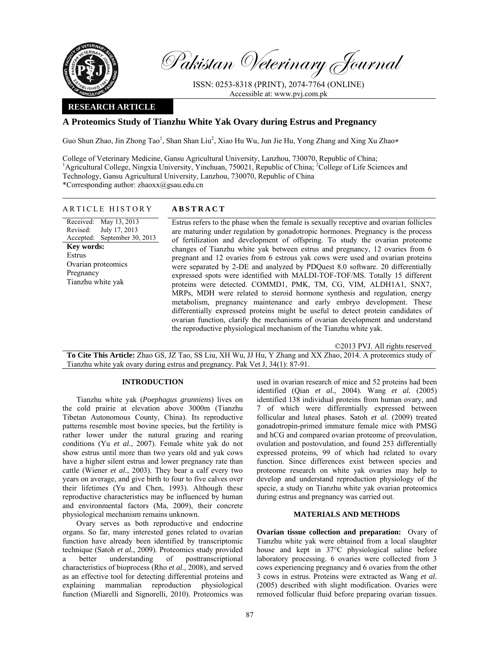

Pakistan Veterinary Journal

ISSN: 0253-8318 (PRINT), 2074-7764 (ONLINE) Accessible at: www.pvj.com.pk

### **RESEARCH ARTICLE**

# **A Proteomics Study of Tianzhu White Yak Ovary during Estrus and Pregnancy**

Guo Shun Zhao, Jin Zhong Tao<sup>1</sup>, Shan Shan Liu<sup>2</sup>, Xiao Hu Wu, Jun Jie Hu, Yong Zhang and Xing Xu Zhao\*

College of Veterinary Medicine, Gansu Agricultural University, Lanzhou, 730070, Republic of China; <sup>1</sup>Agricultural College, Ningxia University, Yinchuan, 750021, Republic of China; <sup>2</sup>College of Life Sciences and Technology, Gansu Agricultural University, Lanzhou, 730070, Republic of China \*Corresponding author: zhaoxx@gsau.edu.cn

| <b>ABSTRACT</b><br>ARTICLE HISTORY |
|------------------------------------|
|                                    |

Received: May 13, 2013 Revised: Accepted: September 30, 2013 July 17, 2013 **Key words:**  Estrus Ovarian proteomics Pregnancy Tianzhu white yak

 Estrus refers to the phase when the female is sexually receptive and ovarian follicles are maturing under regulation by gonadotropic hormones. Pregnancy is the process of fertilization and development of offspring. To study the ovarian proteome changes of Tianzhu white yak between estrus and pregnancy, 12 ovaries from 6 pregnant and 12 ovaries from 6 estrous yak cows were used and ovarian proteins were separated by 2-DE and analyzed by PDQuest 8.0 software. 20 differentially expressed spots were identified with MALDI-TOF-TOF/MS. Totally 15 different proteins were detected. COMMD1, PMK, TM, CG, VIM, ALDH1A1, SNX7, MRPs, MDH were related to steroid hormone synthesis and regulation, energy metabolism, pregnancy maintenance and early embryo development. These differentially expressed proteins might be useful to detect protein candidates of ovarian function, clarify the mechanisms of ovarian development and understand the reproductive physiological mechanism of the Tianzhu white yak.

©2013 PVJ. All rights reserved

**To Cite This Article:** Zhao GS, JZ Tao, SS Liu, XH Wu, JJ Hu, Y Zhang and XX Zhao, 2014. A proteomics study of Tianzhu white yak ovary during estrus and pregnancy. Pak Vet J, 34(1): 87-91.

### **INTRODUCTION**

Tianzhu white yak (*Poephagus grunniens*) lives on the cold prairie at elevation above 3000m (Tianzhu Tibetan Autonomous County, China). Its reproductive patterns resemble most bovine species, but the fertility is rather lower under the natural grazing and rearing conditions (Yu *et al.*, 2007). Female white yak do not show estrus until more than two years old and yak cows have a higher silent estrus and lower pregnancy rate than cattle (Wiener *et al.*, 2003). They bear a calf every two years on average, and give birth to four to five calves over their lifetimes (Yu and Chen, 1993). Although these reproductive characteristics may be influenced by human and environmental factors (Ma, 2009), their concrete physiological mechanism remains unknown.

Ovary serves as both reproductive and endocrine organs. So far, many interested genes related to ovarian function have already been identified by transcriptomic technique (Satoh *et al.*, 2009). Proteomics study provided a better understanding of posttranscriptional characteristics of bioprocess (Rho *et al.*, 2008), and served as an effective tool for detecting differential proteins and explaining mammalian reproduction physiological function (Miarelli and Signorelli, 2010). Proteomics was used in ovarian research of mice and 52 proteins had been identified (Qian *et al.*, 2004). Wang *et al.* (2005) identified 138 individual proteins from human ovary, and 7 of which were differentially expressed between follicular and luteal phases. Satoh *et al.* (2009) treated gonadotropin-primed immature female mice with PMSG and hCG and compared ovarian proteome of preovulation, ovulation and postovulation, and found 253 differentially expressed proteins, 99 of which had related to ovary function. Since differences exist between species and proteome research on white yak ovaries may help to develop and understand reproduction physiology of the specie, a study on Tianzhu white yak ovarian proteomics during estrus and pregnancy was carried out.

## **MATERIALS AND METHODS**

**Ovarian tissue collection and preparation:** Ovary of Tianzhu white yak were obtained from a local slaughter house and kept in 37°C physiological saline before laboratory processing. 6 ovaries were collected from 3 cows experiencing pregnancy and 6 ovaries from the other 3 cows in estrus. Proteins were extracted as Wang *et al.* (2005) described with slight modification. Ovaries were removed follicular fluid before preparing ovarian tissues.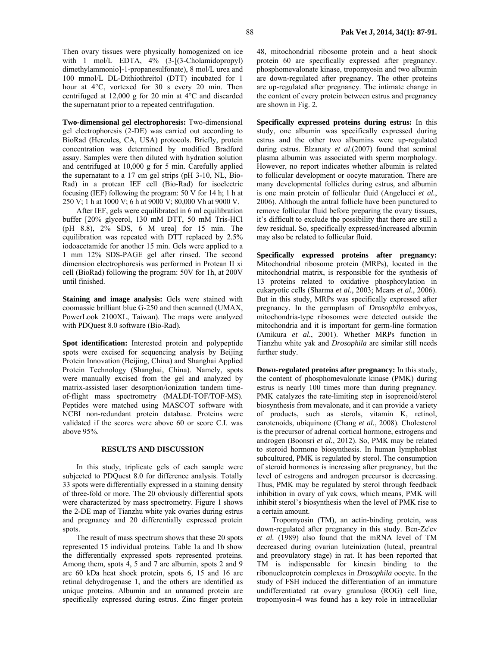Then ovary tissues were physically homogenized on ice with 1 mol/L EDTA,  $4\%$  (3-[(3-Cholamidopropyl) dimethylammonio]-1-propanesulfonate), 8 mol/L urea and 100 mmol/L DL-Dithiothreitol (DTT) incubated for 1 hour at 4°C, vortexed for 30 s every 20 min. Then centrifuged at 12,000 g for 20 min at 4°C and discarded the supernatant prior to a repeated centrifugation.

**Two-dimensional gel electrophoresis:** Two-dimensional gel electrophoresis (2-DE) was carried out according to BioRad (Hercules, CA, USA) protocols. Briefly, protein concentration was determined by modified Bradford assay. Samples were then diluted with hydration solution and centrifuged at 10,000 g for 5 min. Carefully applied the supernatant to a 17 cm gel strips (pH 3-10, NL, Bio-Rad) in a protean IEF cell (Bio-Rad) for isoelectric focusing (IEF) following the program: 50 V for 14 h; 1 h at 250 V; 1 h at 1000 V; 6 h at 9000 V; 80,000 Vh at 9000 V.

After IEF, gels were equilibrated in 6 ml equilibration buffer [20% glycerol, 130 mM DTT, 50 mM Tris-HCl (pH 8.8), 2% SDS, 6 M urea] for 15 min. The equilibration was repeated with DTT replaced by 2.5% iodoacetamide for another 15 min. Gels were applied to a 1 mm 12% SDS-PAGE gel after rinsed. The second dimension electrophoresis was performed in Protean II xi cell (BioRad) following the program: 50V for 1h, at 200V until finished.

**Staining and image analysis:** Gels were stained with coomassie brilliant blue G-250 and then scanned (UMAX, PowerLook 2100XL, Taiwan). The maps were analyzed with PDQuest 8.0 software (Bio-Rad).

**Spot identification:** Interested protein and polypeptide spots were excised for sequencing analysis by Beijing Protein Innovation (Beijing, China) and Shanghai Applied Protein Technology (Shanghai, China). Namely, spots were manually excised from the gel and analyzed by matrix-assisted laser desorption/ionization tandem timeof-flight mass spectrometry (MALDI-TOF/TOF-MS). Peptides were matched using MASCOT software with NCBI non-redundant protein database. Proteins were validated if the scores were above 60 or score C.I. was above 95%.

#### **RESULTS AND DISCUSSION**

In this study, triplicate gels of each sample were subjected to PDQuest 8.0 for difference analysis. Totally 33 spots were differentially expressed in a staining density of three-fold or more. The 20 obviously differential spots were characterized by mass spectrometry. Figure 1 shows the 2-DE map of Tianzhu white yak ovaries during estrus and pregnancy and 20 differentially expressed protein spots.

The result of mass spectrum shows that these 20 spots represented 15 individual proteins. Table 1a and 1b show the differentially expressed spots represented proteins. Among them, spots 4, 5 and 7 are albumin, spots 2 and 9 are 60 kDa heat shock protein, spots 6, 15 and 16 are retinal dehydrogenase 1, and the others are identified as unique proteins. Albumin and an unnamed protein are specifically expressed during estrus. Zinc finger protein 48, mitochondrial ribosome protein and a heat shock protein 60 are specifically expressed after pregnancy. phosphomevalonate kinase, tropomyosin and two albumin are down-regulated after pregnancy. The other proteins are up-regulated after pregnancy. The intimate change in the content of every protein between estrus and pregnancy are shown in Fig. 2.

**Specifically expressed proteins during estrus:** In this study, one albumin was specifically expressed during estrus and the other two albumins were up-regulated during estrus. Elzanaty *et al*.(2007) found that seminal plasma albumin was associated with sperm morphology. However, no report indicates whether albumin is related to follicular development or oocyte maturation. There are many developmental follicles during estrus, and albumin is one main protein of follicular fluid (Angelucci *et al.*, 2006). Although the antral follicle have been punctured to remove follicular fluid before preparing the ovary tissues, it's difficult to exclude the possibility that there are still a few residual. So, specifically expressed/increased albumin may also be related to follicular fluid.

**Specifically expressed proteins after pregnancy:**  Mitochondrial ribosome protein (MRPs), located in the mitochondrial matrix, is responsible for the synthesis of 13 proteins related to oxidative phosphorylation in eukaryotic cells (Sharma *et al.*, 2003; Mears *et al.*, 2006). But in this study, MRPs was specifically expressed after pregnancy. In the germplasm of *Drosophila* embryos, mitochondria-type ribosomes were detected outside the mitochondria and it is important for germ-line formation (Amikura *et al.*, 2001). Whether MRPs function in Tianzhu white yak and *Drosophila* are similar still needs further study.

**Down-regulated proteins after pregnancy:** In this study, the content of phosphomevalonate kinase (PMK) during estrus is nearly 100 times more than during pregnancy. PMK catalyzes the rate-limiting step in isoprenoid/sterol biosynthesis from mevalonate, and it can provide a variety of products, such as sterols, vitamin K, retinol, carotenoids, ubiquinone (Chang *et al.*, 2008). Cholesterol is the precursor of adrenal cortical hormone, estrogens and androgen (Boonsri *et al.*, 2012). So, PMK may be related to steroid hormone biosynthesis. In human lymphoblast subcultured, PMK is regulated by sterol. The consumption of steroid hormones is increasing after pregnancy, but the level of estrogens and androgen precursor is decreasing. Thus, PMK may be regulated by sterol through feedback inhibition in ovary of yak cows, which means, PMK will inhibit sterol's biosynthesis when the level of PMK rise to a certain amount.

Tropomyosin (TM), an actin-binding protein, was down-regulated after pregnancy in this study. Ben-Ze'ev *et al.* (1989) also found that the mRNA level of TM decreased during ovarian luteinization (luteal, preantral and preovulatory stage) in rat. It has been reported that TM is indispensable for kinesin binding to the ribonucleoprotein complexes in *Drosophila* oocyte. In the study of FSH induced the differentiation of an immature undifferentiated rat ovary granulosa (ROG) cell line, tropomyosin-4 was found has a key role in intracellular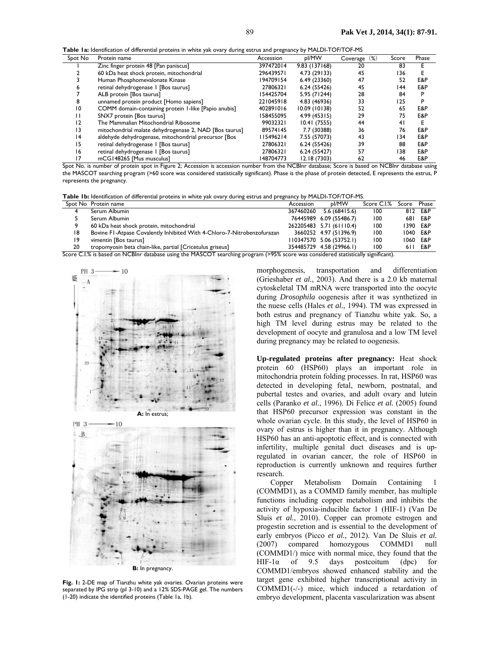**Table 1a:** Identification of differential proteins in white yak ovary during estrus and pregnancy by MALDI-TOF/TOF-MS

| Spot No         | Protein name                                           | Accession | pl/MW         | (%)<br>Coverage | Score | Phase |
|-----------------|--------------------------------------------------------|-----------|---------------|-----------------|-------|-------|
|                 | Zinc finger protein 48 [Pan paniscus]                  | 397472014 | 9.83 (137168) | 20              | 83    |       |
|                 | 60 kDa heat shock protein, mitochondrial               | 296439571 | 4.73 (29133)  | 45              | 136   |       |
|                 | Human Phosphomevalonate Kinase                         | 194709154 | 6.49 (23360)  | 47              | 52    | E&P   |
|                 | retinal dehydrogenase I [Bos taurus]                   | 27806321  | 6.24 (55426)  | 45              | 144   | E&P   |
|                 | ALB protein [Bos taurus]                               | 154425704 | 5.95 (71244)  | 28              | 84    | P     |
|                 | unnamed protein product [Homo sapiens]                 | 221045918 | 4.83 (46936)  | 33              | 125   |       |
| $\overline{10}$ | COMM domain-containing protein 1-like [Papio anubis]   | 402891016 | 10.09 (10138) | 52              | 65    | E&P   |
|                 | SNX7 protein [Bos taurus]                              | 158455095 | 4.99 (45315)  | 29              | 75    | E&P   |
| 12              | The Mammalian Mitochondrial Ribosome                   | 99032321  | 10.41(7555)   | 44              | 41    |       |
| $\overline{13}$ | mitochondrial malate dehydrogenase 2, NAD [Bos taurus] | 89574145  | 7.7 (30388)   | 36              | 76    | E&P   |
| 14              | aldehyde dehydrogenase, mitochondrial precursor [Bos   | 15496214  | 7.55 (57073)  | 43              | 134   | E&P   |
| 15              | retinal dehydrogenase I [Bos taurus]                   | 27806321  | 6.24 (55426)  | 39              | 88    | E&P   |
| 16              | retinal dehydrogenase I [Bos taurus]                   | 27806321  | 6.24 (55427)  | 57              | 138   | E&P   |
| 17              | mCG148265 [Mus musculus]                               | 148704773 | 12.18 (7303)  | 62              | 46    | E&P   |

Spot No. is number of protein spot in Figure 2; Accession is accession number from the NCBInr database; Score is based on NCBInr database using the MASCOT searching program (>60 score was considered statistically significant). Phase is the phase of protein detected, E represents the estrus, P represents the pregnancy.

**Table 1b:** Identification of differential proteins in white yak ovary during estrus and pregnancy by MALDI-TOF/TOF-MS.

|    | Spot No Protein name                                                    | Accession | pl/MW                    | Score C.I.% Score Phase |          |
|----|-------------------------------------------------------------------------|-----------|--------------------------|-------------------------|----------|
|    | Serum Albumin                                                           | 367460260 | 5.6 (68415.6)            | 100                     | 812 E&P  |
|    | Serum Albumin                                                           |           | 76445989 6.09 (55486.7)  | 100                     | 681 E&P  |
|    | 60 kDa heat shock protein, mitochondrial                                |           | 262205483 5.71 (61110.4) | 100                     | 1390 E&P |
| 18 | Bovine FI-Atpase Covalently Inhibited With 4-Chloro-7-Nitrobenzofurazan |           | 3660252 4.97 (51396.9)   | 100                     | 1040 E&P |
| 19 | vimentin [Bos taurus]                                                   |           | 110347570 5.06 (53752.1) | 100                     | 1060 E&P |
| 20 | tropomyosin beta chain-like, partial [Cricetulus griseus]               |           | 354485729 4.58 (29966.1) | 100                     | 611 E&P  |
|    | $\sim$ $\sim$ $\sim$ $\sim$<br>$\cdots$                                 |           |                          |                         |          |

Score C.I.% is based on NCBInr database using the MASCOT searching program (>95% score was considered statistically significant).





**Fig. 1:** 2-DE map of Tianzhu white yak ovaries. Ovarian proteins were separated by IPG strip (pI 3-10) and a 12% SDS-PAGE gel. The numbers (1-20) indicate the identified proteins (Table 1a, 1b).

morphogenesis, transportation and differentiation (Grieshaber *et al.*, 2003). And there is a 2.0 kb maternal cytoskeletal TM mRNA were transported into the oocyte during *Drosophila* oogenesis after it was synthetized in the nuese cells (Hales *et al.*, 1994). TM was expressed in both estrus and pregnancy of Tianzhu white yak. So, a high TM level during estrus may be related to the development of oocyte and granulosa and a low TM level during pregnancy may be related to oogenesis.

**Up-regulated proteins after pregnancy:** Heat shock protein 60 (HSP60) plays an important role in mitochondria protein folding processes. In rat, HSP60 was detected in developing fetal, newborn, postnatal, and pubertal testes and ovaries, and adult ovary and lutein cells (Paranko *et al.*, 1996). Di Felice *et al.* (2005) found that HSP60 precursor expression was constant in the whole ovarian cycle. In this study, the level of HSP60 in ovary of estrus is higher than it in pregnancy. Although HSP60 has an anti-apoptotic effect, and is connected with infertility, multiple genital duct diseases and is upregulated in ovarian cancer, the role of HSP60 in reproduction is currently unknown and requires further research.

Copper Metabolism Domain Containing 1 (COMMD1), as a COMMD family member, has multiple functions including copper metabolism and inhibits the activity of hypoxia-inducible factor 1 (HIF-1) (Van De Sluis *et al.*, 2010). Copper can promote estrogen and progestin secretion and is essential to the development of early embryos (Picco *et al.*, 2012). Van De Sluis *et al.*  (2007) compared homozygous COMMD1 null (COMMD1/) mice with normal mice, they found that the HIF-1 $\alpha$  of 9.5 days postcoitum (dpc) for COMMD1/embryos showed enhanced stability and the target gene exhibited higher transcriptional activity in COMMD1(-/-) mice, which induced a retardation of embryo development, placenta vascularization was absent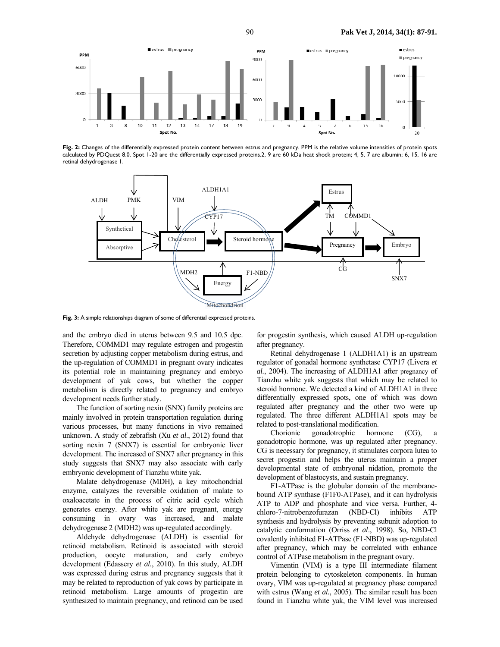

**Fig. 2:** Changes of the differentially expressed protein content between estrus and pregnancy. PPM is the relative volume intensities of protein spots calculated by PDQuest 8.0. Spot 1-20 are the differentially expressed proteins.2, 9 are 60 kDa heat shock protein; 4, 5, 7 are albumin; 6, 15, 16 are retinal dehydrogenase 1.



Fig. 3: A simple relationships diagram of some of differential expressed proteins.

and the embryo died in uterus between 9.5 and 10.5 dpc. Therefore, COMMD1 may regulate estrogen and progestin secretion by adjusting copper metabolism during estrus, and the up-regulation of COMMD1 in pregnant ovary indicates its potential role in maintaining pregnancy and embryo development of yak cows, but whether the copper metabolism is directly related to pregnancy and embryo development needs further study.

The function of sorting nexin (SNX) family proteins are mainly involved in protein transportation regulation during various processes, but many functions in vivo remained unknown. A study of zebrafish (Xu *et al.*, 2012) found that sorting nexin 7 (SNX7) is essential for embryonic liver development. The increased of SNX7 after pregnancy in this study suggests that SNX7 may also associate with early embryonic development of Tianzhu white yak.

Malate dehydrogenase (MDH), a key mitochondrial enzyme, catalyzes the reversible oxidation of malate to oxaloacetate in the process of citric acid cycle which generates energy. After white yak are pregnant, energy consuming in ovary was increased, and malate dehydrogenase 2 (MDH2) was up-regulated accordingly.

Aldehyde dehydrogenase (ALDH) is essential for retinoid metabolism. Retinoid is associated with steroid production, oocyte maturation, and early embryo development (Edassery *et al.*, 2010). In this study, ALDH was expressed during estrus and pregnancy suggests that it may be related to reproduction of yak cows by participate in retinoid metabolism. Large amounts of progestin are synthesized to maintain pregnancy, and retinoid can be used

for progestin synthesis, which caused ALDH up-regulation after pregnancy.

Retinal dehydrogenase 1 (ALDH1A1) is an upstream regulator of gonadal hormone synthetase CYP17 (Livera *et al.*, 2004). The increasing of ALDH1A1 after pregnancy of Tianzhu white yak suggests that which may be related to steroid hormone. We detected a kind of ALDH1A1 in three differentially expressed spots, one of which was down regulated after pregnancy and the other two were up regulated. The three different ALDH1A1 spots may be related to post-translational modification.

Chorionic gonadotrophic hormone (CG), gonadotropic hormone, was up regulated after pregnancy. CG is necessary for pregnancy, it stimulates corpora lutea to secret progestin and helps the uterus maintain a proper developmental state of embryonal nidation, promote the development of blastocysts, and sustain pregnancy.

F1-ATPase is the globular domain of the membranebound ATP synthase (F1F0-ATPase), and it can hydrolysis ATP to ADP and phosphate and vice versa. Further, 4 chloro-7-nitrobenzofurazan (NBD-Cl) inhibits ATP synthesis and hydrolysis by preventing subunit adoption to catalytic conformation (Orriss *et al*., 1998). So, NBD-Cl covalently inhibited F1-ATPase (F1-NBD) was up-regulated after pregnancy, which may be correlated with enhance control of ATPase metabolism in the pregnant ovary.

Vimentin (VIM) is a type III intermediate filament protein belonging to cytoskeleton components. In human ovary, VIM was up-regulated at pregnancy phase compared with estrus (Wang *et al.*, 2005). The similar result has been found in Tianzhu white yak, the VIM level was increased